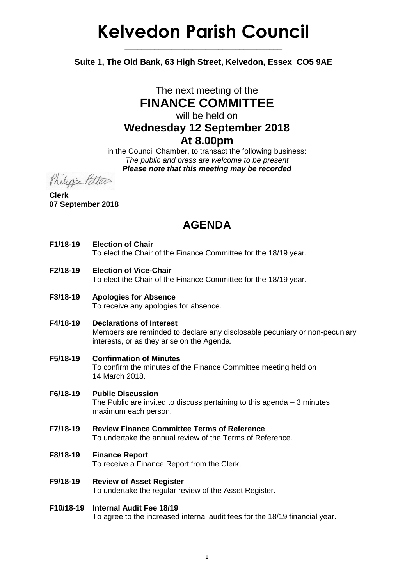# **Kelvedon Parish Council**

**Suite 1, The Old Bank, 63 High Street, Kelvedon, Essex CO5 9AE**

**\_\_\_\_\_\_\_\_\_\_\_\_\_\_\_\_\_\_\_\_\_\_\_\_\_\_\_\_\_\_\_\_\_\_\_\_\_**

### The next meeting of the **FINANCE COMMITTEE** will be held on **Wednesday 12 September 2018**

**At 8.00pm**

in the Council Chamber, to transact the following business: *The public and press are welcome to be present Please note that this meeting may be recorded*

Phelips Patter

**Clerk 07 September 2018**

## **AGENDA**

#### **F1/18-19 Election of Chair**

To elect the Chair of the Finance Committee for the 18/19 year.

- **F2/18-19 Election of Vice-Chair** To elect the Chair of the Finance Committee for the 18/19 year.
- **F3/18-19 Apologies for Absence** To receive any apologies for absence.
- **F4/18-19 Declarations of Interest** Members are reminded to declare any disclosable pecuniary or non-pecuniary interests, or as they arise on the Agenda.
- **F5/18-19 Confirmation of Minutes** To confirm the minutes of the Finance Committee meeting held on 14 March 2018.
- **F6/18-19 Public Discussion** The Public are invited to discuss pertaining to this agenda – 3 minutes maximum each person.
- **F7/18-19 Review Finance Committee Terms of Reference** To undertake the annual review of the Terms of Reference.
- **F8/18-19 Finance Report**

To receive a Finance Report from the Clerk.

- **F9/18-19 Review of Asset Register** To undertake the regular review of the Asset Register.
- **F10/18-19 Internal Audit Fee 18/19** To agree to the increased internal audit fees for the 18/19 financial year.